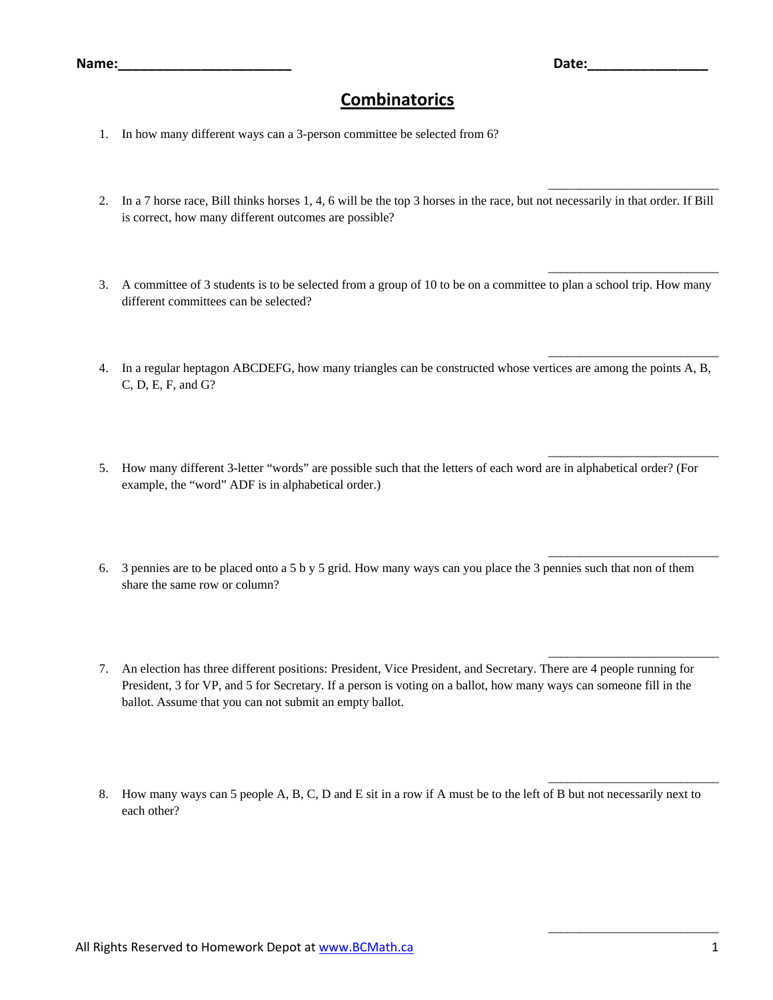\_\_\_\_\_\_\_\_\_\_\_\_\_\_\_\_\_\_\_\_\_\_\_\_\_\_\_

\_\_\_\_\_\_\_\_\_\_\_\_\_\_\_\_\_\_\_\_\_\_\_\_\_\_\_

\_\_\_\_\_\_\_\_\_\_\_\_\_\_\_\_\_\_\_\_\_\_\_\_\_\_\_

\_\_\_\_\_\_\_\_\_\_\_\_\_\_\_\_\_\_\_\_\_\_\_\_\_\_\_

\_\_\_\_\_\_\_\_\_\_\_\_\_\_\_\_\_\_\_\_\_\_\_\_\_\_\_

\_\_\_\_\_\_\_\_\_\_\_\_\_\_\_\_\_\_\_\_\_\_\_\_\_\_\_

\_\_\_\_\_\_\_\_\_\_\_\_\_\_\_\_\_\_\_\_\_\_\_\_\_\_\_

\_\_\_\_\_\_\_\_\_\_\_\_\_\_\_\_\_\_\_\_\_\_\_\_\_\_\_

## **Combinatorics**

- 1. In how many different ways can a 3-person committee be selected from 6?
- 2. In a 7 horse race, Bill thinks horses 1, 4, 6 will be the top 3 horses in the race, but not necessarily in that order. If Bill is correct, how many different outcomes are possible?
- 3. A committee of 3 students is to be selected from a group of 10 to be on a committee to plan a school trip. How many different committees can be selected?
- 4. In a regular heptagon ABCDEFG, how many triangles can be constructed whose vertices are among the points A, B, C, D, E, F, and G?
- 5. How many different 3-letter "words" are possible such that the letters of each word are in alphabetical order? (For example, the "word" ADF is in alphabetical order.)
- 6. 3 pennies are to be placed onto a 5 b y 5 grid. How many ways can you place the 3 pennies such that non of them share the same row or column?
- 7. An election has three different positions: President, Vice President, and Secretary. There are 4 people running for President, 3 for VP, and 5 for Secretary. If a person is voting on a ballot, how many ways can someone fill in the ballot. Assume that you can not submit an empty ballot.
- 8. How many ways can 5 people A, B, C, D and E sit in a row if A must be to the left of B but not necessarily next to each other?